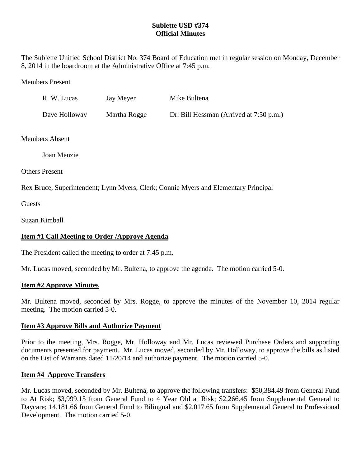# **Sublette USD #374 Official Minutes**

The Sublette Unified School District No. 374 Board of Education met in regular session on Monday, December 8, 2014 in the boardroom at the Administrative Office at 7:45 p.m.

Members Present

| R. W. Lucas   | Jay Meyer    | Mike Bultena                            |
|---------------|--------------|-----------------------------------------|
| Dave Holloway | Martha Rogge | Dr. Bill Hessman (Arrived at 7:50 p.m.) |

Members Absent

Joan Menzie

Others Present

Rex Bruce, Superintendent; Lynn Myers, Clerk; Connie Myers and Elementary Principal

**Guests** 

Suzan Kimball

# **Item #1 Call Meeting to Order /Approve Agenda**

The President called the meeting to order at 7:45 p.m.

Mr. Lucas moved, seconded by Mr. Bultena, to approve the agenda. The motion carried 5-0.

#### **Item #2 Approve Minutes**

Mr. Bultena moved, seconded by Mrs. Rogge, to approve the minutes of the November 10, 2014 regular meeting. The motion carried 5-0.

#### **Item #3 Approve Bills and Authorize Payment**

Prior to the meeting, Mrs. Rogge, Mr. Holloway and Mr. Lucas reviewed Purchase Orders and supporting documents presented for payment. Mr. Lucas moved, seconded by Mr. Holloway, to approve the bills as listed on the List of Warrants dated 11/20/14 and authorize payment. The motion carried 5-0.

#### **Item #4 Approve Transfers**

Mr. Lucas moved, seconded by Mr. Bultena, to approve the following transfers: \$50,384.49 from General Fund to At Risk; \$3,999.15 from General Fund to 4 Year Old at Risk; \$2,266.45 from Supplemental General to Daycare; 14,181.66 from General Fund to Bilingual and \$2,017.65 from Supplemental General to Professional Development. The motion carried 5-0.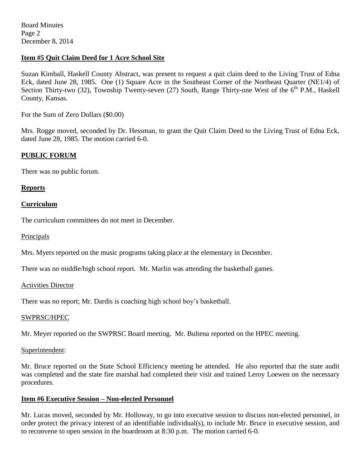## **Item #5 Quit Claim Deed for 1 Acre School Site**

Suzan Kimball, Haskell County Abstract, was present to request a quit claim deed to the Living Trust of Edna Eck, dated June 28, 1985. One (1) Square Acre in the Southeast Corner of the Northeast Quarter (NE1/4) of Section Thirty-two (32), Township Twenty-seven (27) South, Range Thirty-one West of the 6<sup>th</sup> P.M., Haskell County, Kansas.

For the Sum of Zero Dollars (\$0.00)

Mrs. Rogge moved, seconded by Dr. Hessman, to grant the Quit Claim Deed to the Living Trust of Edna Eck, dated June 28, 1985. The motion carried 6-0.

## **PUBLIC FORUM**

There was no public forum.

## **Reports**

## **Curriculum**

The curriculum committees do not meet in December.

#### Principals

Mrs. Myers reported on the music programs taking place at the elementary in December.

There was no middle/high school report. Mr. Marlin was attending the basketball games.

#### Activities Director

There was no report; Mr. Dardis is coaching high school boy's basketball.

#### SWPRSC/HPEC

Mr. Meyer reported on the SWPRSC Board meeting. Mr. Bultena reported on the HPEC meeting.

#### Superintendent:

Mr. Bruce reported on the State School Efficiency meeting he attended. He also reported that the state audit was completed and the state fire marshal had completed their visit and trained Leroy Loewen on the necessary procedures.

#### **Item #6 Executive Session – Non-elected Personnel**

Mr. Lucas moved, seconded by Mr. Holloway, to go into executive session to discuss non-elected personnel, in order protect the privacy interest of an identifiable individual(s), to include Mr. Bruce in executive session, and to reconvene to open session in the boardroom at 8:30 p.m. The motion carried 6-0.